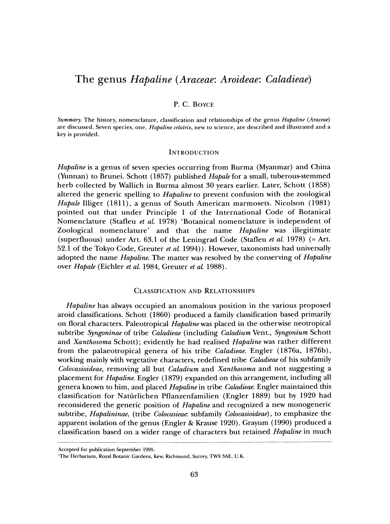# **The genus Hapaline (Araceae: Aroideae: Caladieae)**

# **P. C. BOYCE**

**Summary. The history, nomenclature, classification and relationships of the genus Hapaline (Araceae) are discussed. Seven species, one, Hapaline celatrix, new to science, are described and illustrated and a key is provided.** 

### **INTRODUCTION**

**Hapaline is a genus of seven species occurring from Burma (Myanmar) and China (Yunnan) to Brunei. Schott (1857) published Hapale for a small, tuberous-stemmed herb collected by Wallich in Burma almost 30 years earlier. Later, Schott (1858) altered the generic spelling to Hapaline to prevent confusion with the zoological Hapale Illiger (1811), a genus of South American marmosets. Nicolson (1981) pointed out that under Principle 1 of the International Code of Botanical Nomenclature (Stafleu et al. 1978) 'Botanical nomenclature is independent of Zoological nomenclature' and that the name Hapaline was illegitimate (superfluous) under Art. 63.1 of the Leningrad Code (Stafleu et al. 1978) (= Art. 52.1 of the Tokyo Code, Greuter et al. 1994)). However, taxonomists had universally adopted the name Hapaline. The matter was resolved by the conserving of Hapaline over Hapale (Eichler et al. 1984, Greuter et al. 1988).** 

### **CLASSIFICATION AND RELATIONSHIPS**

**Hapaline has always occupied an anomalous position in the various proposed aroid classifications. Schott (1860) produced a family classification based primarily on floral characters. Paleotropical Hapaline was placed in the otherwise neotropical subtribe Syngoninae of tribe Caladieae (including Caladium Vent., Syngonium Schott and Xanthosoma Schott); evidently he had realised Hapaline was rather different from the palaeotropical genera of his tribe Caladieae. Engler (1876a, 1876b), working mainly with vegetative characters, redefined tribe Caladieae of his subfamily Colocasioideae, removing all but Caladium and Xanthosoma and not suggesting a placement for Hapaline. Engler (1879) expanded on this arrangement, including all genera known to him, and placed Hapaline in tribe Caladieae. Engler maintained this classification for Natfirlichen Pflanzenfamilien (Engler 1889) but by 1920 had reconsidered the generic position of Hapaline and recognized a new monogeneric subtribe, Hapalininae, (tribe Colocasieae. subfamily Colocasioideae), to emphasize the apparent isolation of the genus (Engler & Krause 1920). Grayum (1990) produced a classification based on a wider range of characters but retained Hapaline in much** 

**Accepted for publication September 1995.** 

**<sup>&#</sup>x27;The Herbarium, Royal Botanic Gardens, Kew, Richmond, Surrey, TW9 3AE, U.K.**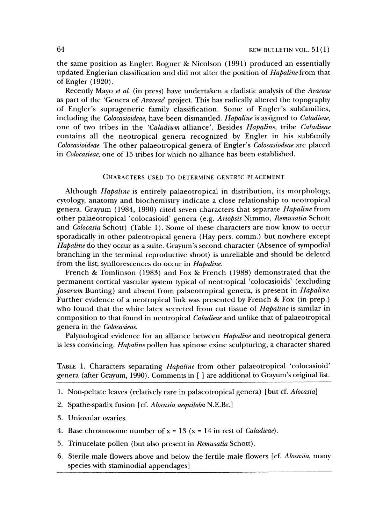**the same position as Engler. Bogner & Nicolson (1991) produced an essentially updated Englerian classification and did not alter the position of Hapaline from that of Engler (1920).** 

**Recently Mayo et al. (in press) have undertaken a cladistic analysis of the Araceae as part of the 'Genera of Araceae' project. This has radically altered the topography of Engler's suprageneric family classification. Some of Engler's subfamilies, including the Colocasioideae, have been dismantled. Hapaline is assigned to Caladieae, one of two tribes in the 'Caladium alliance'. Besides Hapaline, tribe Caladieae contains all the neotropical genera recognized by Engler in his subfamily Colocasioideae. The other palaeotropical genera of Engler's Colocasiodeae are placed in Colocasieae, one of 15 tribes for which no alliance has been established.** 

### **CHARACTERS USED TO DETERMINE GENERIC PLACEMENT**

**Although Hapaline is entirely palaeotropical in distribution, its morphology, cytology, anatomy and biochemistry indicate a close relationship to neotropical genera. Grayum (1984, 1990) cited seven characters that separate Hapaline from other palaeotropical 'colocasioid' genera (e.g. Ariopsis Nimmo, Remusatia Schott and Colocasia Schott) (Table 1). Some of these characters are now know to occur sporadically in other paleotropical genera (Hay pers. comm.) but nowhere except Hapaline do they occur as a suite. Grayum's second character (Absence of sympodial branching in the terminal reproductive shoot) is unreliable and should be deleted from the list; synflorescences do occur in Hapaline.** 

**French & Tomlinson (1983) and Fox & French (1988) demonstrated that the permanent cortical vascular system typical of neotropical 'colocasioids' (excluding Jasarum Bunting) and absent from palaeotropical genera, is present in Hapaline. Further evidence of a neotropical link was presented by French & Fox (in prep.) who found that the white latex secreted from cut tissue of Hapaline is similar in composition to that found in neotropical Caladieae and unlike that of palaeotropical genera in the Colocasieae.** 

**Palynological evidence for an alliance between Hapaline and neotropical genera is less convincing. Hapaline pollen has spinose exine sculpturing, a character shared** 

**TABLE 1. Characters separating Hapaline from other palaeotropical 'colocasioid' genera (after Grayum, 1990). Comments in [ ] are additional to Grayum's original list.** 

- **1. Non-peltate leaves (relatively rare in palaeotropical genera) [but cf. Alocasia]**
- **2. Spathe-spadix fusion [cf. Alocasia aequiloba N.E.Br.]**
- **3. Uniovular ovaries.**
- **4. Base chromosome number of x = 13 (x = 14 in rest of Caladieae).**
- **5. Trinucelate pollen (but also present in Remusatia Schott).**
- **6. Sterile male flowers above and below the fertile male flowers [cf. Alocasia, many species with staminodial appendages]**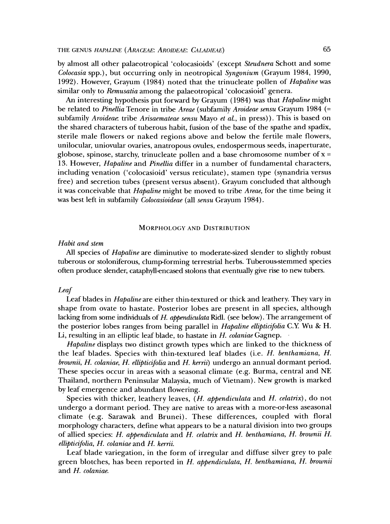**by almost all other palaeotropical 'colocasioids' (except Steudnera Schott and some Colocasia spp.), but occurring only in neotropical Syngonium (Grayum 1984, 1990, 1992). However, Grayum (1984) noted that the trinucleate pollen of Hapaline was similar only to Remusatia among the palaeotropical 'colocasioid' genera.** 

**An interesting hypothesis put forward by Grayum (1984) was that Hapaline might be related to Pinellia Tenore in tribe Areae (subfamily Aroideae sensu Grayum 1984 (= subfamily Aroideae: tribe Arisaemateae sensu Mayo et al., in press)). This is based on the shared characters of tuberous habit, fusion of the base of the spathe and spadix, sterile male flowers or naked regions above and below the fertile male flowers, unilocular, uniovular ovaries, anatropous ovules, endospermous seeds, inaperturate, globose, spinose, starchy, trinucleate pollen and a base chromosome number of x = 13. However, Hapaline and Pinellia differ in a number of fundamental characters, including venation ('colocasioid' versus reticulate), stamen type (synandria versus free) and secretion tubes (present versus absent). Grayum concluded that although it was conceivable that Hapaline might be moved to tribe Areae, for the time being it was best left in subfamily Colocasioideae (all sensu Grayum 1984).** 

# **MORPHOLOGY AND DISTRIBUTION**

### **Habit and stem**

**All species of Hapaline are diminutive to moderate-sized slender to slightly robust tuberous or stoloniferous, clump-forming terrestrial herbs. Tuberous-stemmed species often produce slender, cataphyll-encased stolons that eventually give rise to new tubers.** 

### **Leaf**

**Leaf blades in Hapaline are either thin-textured or thick and leathery. They vary in shape from ovate to hastate. Posterior lobes are present in all species, although lacking from some individuals of H. appendiculata Ridl. (see below). The arrangement of the posterior lobes ranges from being parallel in Hapaline ellipticifolia C.Y. Wu & H. Li, resulting in an elliptic leaf blade, to hastate in H. colaniae Gagnep.** 

**Hapaline displays two distinct growth types which are linked to the thickness of the leaf blades. Species with thin-textured leaf blades (i.e. H. benthamiana, H. brownii, H. colaniae, H. ellipticifolia and H. kerrii) undergo an annual dormant period. These species occur in areas with a seasonal climate (e.g. Burma, central and NE Thailand, northern Peninsular Malaysia, much of Vietnam). New growth is marked by leaf emergence and abundant flowering.** 

**Species with thicker, leathery leaves, (H. appendiculata and H. celatrix), do not undergo a dormant period. They are native to areas with a more-or-less aseasonal climate (e.g. Sarawak and Brunei). These differences, coupled with floral morphology characters, define what appears to be a natural division into two groups of allied species: H. appendiculata and H. celatrix and H. benthamiana, H. brownii H. ellipticifolia, H. colaniae and H. kerrii.** 

**Leaf blade variegation, in the form of irregular and diffuse silver grey to pale green blotches, has been reported in H. appendiculata, H. benthamiana, H. brownii and H. colaniae.**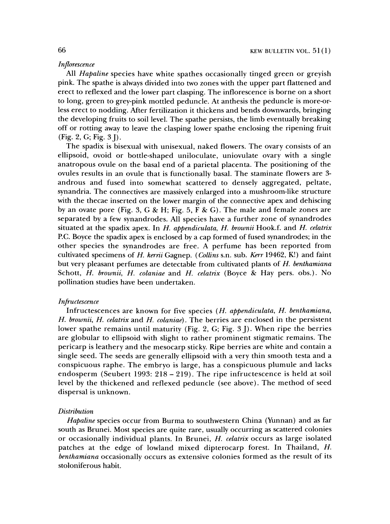# **Inflorescence**

**All Hapaline species have white spathes occasionally tinged green or greyish pink. The spathe is always divided into two zones with the upper part flattened and erect to reflexed and the lower part clasping. The inflorescence is borne on a short to long, green to grey-pink mottled peduncle. At anthesis the peduncle is more-orless erect to nodding. After fertilization it thickens and bends downwards, bringing the developing fruits to soil level. The spathe persists, the limb eventually breaking off or rotting away to leave the clasping lower spathe enclosing the ripening fruit (Fig. 2, G; Fig. 3 J).** 

**The spadix is bisexual with unisexual, naked flowers. The ovary consists of an ellipsoid, ovoid or bottle-shaped uniloculate, uniovulate ovary with a single anatropous ovule on the basal end of a parietal placenta. The positioning of the ovules results in an ovule that is functionally basal. The staminate flowers are 3 androus and fused into somewhat scattered to densely aggregated, peltate, synandria. The connectives are massively enlarged into a mushroom-like structure with the thecae inserted on the lower margin of the connective apex and dehiscing by an ovate pore (Fig. 3, G & H; Fig. 5, F & G). The male and female zones are separated by a few synandrodes. All species have a further zone of synandrodes situated at the spadix apex. In H. appendiculata, H. brownii Hook.f. and H. celatrix P.C. Boyce the spadix apex is enclosed by a cap formed of fused synandrodes; in the other species the synandrodes are free. A perfume has been reported from cultivated specimens of H. kerrii Gagnep. (Collins s.n. sub. Kerr 19462, K!) and faint but very pleasant perfumes are detectable from cultivated plants of H. benthamiana**  Schott, *H. brownii*, *H. colaniae* and *H. celatrix* (Boyce & Hay pers. obs.). No **pollination studies have been undertaken.** 

# **Infructescence**

**Infructescences are known for five species (H. appendiculata, H. benthamiana, H. brownii, H. celatrix and H. colaniae). The berries are enclosed in the persistent lower spathe remains until maturity (Fig. 2, G; Fig. 3 J). When ripe the berries are globular to ellipsoid with slight to rather prominent stigmatic remains. The pericarp is leathery and the mesocarp sticky. Ripe berries are white and contain a single seed. The seeds are generally ellipsoid with a very thin smooth testa and a conspicuous raphe. The embryo is large, has a conspicuous plumule and lacks endosperm (Seubert 1993: 218 - 219). The ripe infructescence is held at soil level by the thickened and reflexed peduncle (see above). The method of seed dispersal is unknown.** 

### **Distribution**

**Hapaline species occur from Burma to southwestern China (Yunnan) and as far south as Brunei. Most species are quite rare, usually occurring as scattered colonies or occasionally individual plants. In Brunei, H. celatrix occurs as large isolated patches at the edge of lowland mixed dipterocarp forest. In Thailand, H. benthamiana occasionally occurs as extensive colonies formed as the result of its stoloniferous habit.**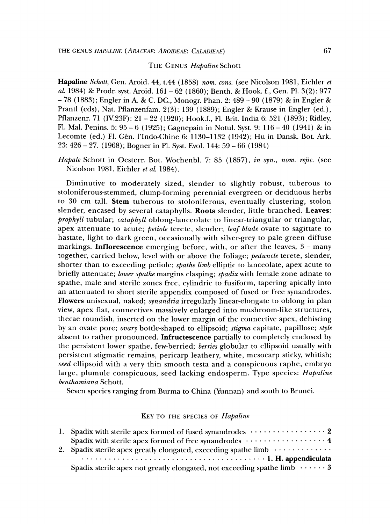### **THE GENUS Hapaline Schott**

**Hapaline Schott, Gen. Aroid. 44, t.44 (1858) nom. cons. (see Nicolson 1981, Eichler et al. 1984) & Prodr. syst. Aroid. 161 - 62 (1860); Benth. & Hook. f., Gen. P1. 3(2): 977 - 78 (1883); Engler in A. & C. DC., Monogr. Phan. 2: 489 - 90 (1879) & in Engler & Prantl (eds), Nat. Pflanzenfam. 2(3): 139 (1889); Engler & Krause in Engler (ed.), Pflanzenr. 71 (IV.23F): 21 - 22 (1920); Hook.f., Fl. Brit. India 6: 521 (1893); Ridley, Fl. Mal. Penins. 5: 95 - 6 (1925); Gagnepain in Notul. Syst. 9: 116 - 40 (1941) & in Lecomte (ed.) Fl. Gen. l'Indo-Chine 6: 1130-1132 (1942); Hu in Dansk. Bot. Ark. 23: 426 - 27. (1968); Bogner in P1. Syst. Evol. 144: 59 - 66 (1984)** 

**Hapale Schott in Oesterr. Bot. Wochenbl. 7: 85 (1857), in syn., nom. rejic. (see Nicolson 1981, Eichler et al. 1984).** 

**Diminutive to moderately sized, slender to slightly robust, tuberous to stoloniferous-stemmed, clump-forming perennial evergreen or deciduous herbs to 30 cm tall. Stem tuberous to stoloniferous, eventually clustering, stolon slender, encased by several cataphylls. Roots slender, little branched. Leaves: prophyll tubular; cataphyll oblong-lanceolate to linear-triangular or triangular, apex attenuate to acute; petiole terete, slender; leaf blade ovate to sagittate to hastate, light to dark green, occasionally with silver-grey to pale green diffuse**  markings. **Inflorescence** emerging before, with, or after the leaves,  $3 -$  many **together, carried below, level with or above the foliage; peduncle terete, slender, shorter than to exceeding petiole; spathe limb elliptic to lanceolate, apex acute to briefly attenuate; lower spathe margins clasping; spadix with female zone adnate to spathe, male and sterile zones free, cylindric to fusiform, tapering apically into an attenuated to short sterile appendix composed of fused or free synandrodes. Flowers unisexual, naked; synandria irregularly linear-elongate to oblong in plan view, apex flat, connectives massively enlarged into mushroom-like structures, thecae roundish, inserted on the lower margin of the connective apex, dehiscing by an ovate pore; ovary bottle-shaped to ellipsoid; stigma capitate, papillose; style absent to rather pronounced. Infructescence partially to completely enclosed by the persistent lower spathe, few-berried; berries globular to ellipsoid usually with persistent stigmatic remains, pericarp leathery, white, mesocarp sticky, whitish; seed ellipsoid with a very thin smooth testa and a conspicuous raphe, embryo large, plumule conspicuous, seed lacking endosperm. Type species: Hapaline benthamiana Schott.** 

**Seven species ranging from Burma to China (Yunnan) and south to Brunei.** 

### **KEY TO THE SPECIES OF Hapaline**

| 1. Spadix with sterile apex formed of fused synandrodes $\cdots \cdots \cdots \cdots$ 2    |
|--------------------------------------------------------------------------------------------|
| Spadix with sterile apex formed of free synandrodes $\cdots \cdots \cdots \cdots \cdots 4$ |
| 2. Spadix sterile apex greatly elongated, exceeding spathe limb $\cdots \cdots \cdots$     |
|                                                                                            |
| Spadix sterile apex not greatly elongated, not exceeding spathe limb $\cdots \cdots 3$     |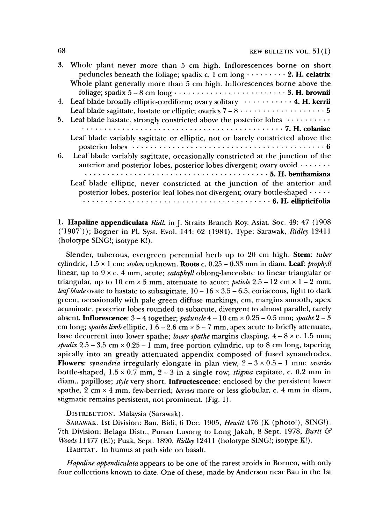| 3. | Whole plant never more than 5 cm high. Inflorescences borne on short<br>peduncles beneath the foliage; spadix c. 1 cm long $\cdots \cdots$ 2. H. celatrix |
|----|-----------------------------------------------------------------------------------------------------------------------------------------------------------|
|    | Whole plant generally more than 5 cm high. Inflorescences borne above the                                                                                 |
|    |                                                                                                                                                           |
|    | 4. Leaf blade broadly elliptic-cordiform; ovary solitary  4. H. kerrii                                                                                    |
|    | Leaf blade sagittate, hastate or elliptic; ovaries $7 - 8 \cdot \cdot \cdot \cdot \cdot \cdot \cdot \cdot \cdot \cdot \cdot \cdot \cdot \cdot \cdot 5$    |
|    | 5. Leaf blade hastate, strongly constricted above the posterior lobes $\cdots \cdots \cdots$                                                              |
|    |                                                                                                                                                           |
|    | Leaf blade variably sagittate or elliptic, not or barely constricted above the                                                                            |
| 6. | Leaf blade variably sagittate, occasionally constricted at the junction of the<br>anterior and posterior lobes, posterior lobes divergent; ovary ovoid    |
|    | Leaf blade elliptic, never constricted at the junction of the anterior and<br>posterior lobes, posterior leaf lobes not divergent; ovary bottle-shaped    |

**1. Hapaline appendiculata Ridl. in J. Straits Branch Roy. Asiat. Soc. 49: 47 (1908 ('1907')); Bogner in P1. Syst. Evol. 144: 62 (1984). Type: Sarawak, Ridley 12411 (holotype SING!; isotype K!).** 

**Slender, tuberous, evergreen perennial herb up to 20 cm high. Stem: tuber cylindric, 1.5 x 1 cm; stolon unknown. Roots c. 0.25 - 0.33 mm in diam. Leaf: prophyll linear, up to 9 x c. 4 mm, acute; cataphyll oblong-lanceolate to linear triangular or**  triangular, up to 10 cm  $\times$  5 mm, attenuate to acute; *petiole* 2.5 – 12 cm  $\times$  1 – 2 mm; *leaf blade* ovate to hastate to subsagittate,  $10 - 16 \times 3.5 - 6.5$ , coriaceous, light to dark **green, occasionally with pale green diffuse markings, cm, margins smooth, apex acuminate, posterior lobes rounded to subacute, divergent to almost parallel, rarely absent. Inflorescence: 3 - 4 together; peduncle 4 - 10 cm x 0.25 - 0.5 mm; spathe 2 - 3**  cm long; *spathe limb* elliptic,  $1.6 - 2.6$  cm  $\times$  5 - 7 mm, apex acute to briefly attenuate, base decurrent into lower spathe; lower spathe margins clasping,  $4 - 8 \times c$ . 1.5 mm; **spadix 2.5 - 3.5 cm x 0.25 - 1 mm, free portion cylindric, up to 8 cm long, tapering apically into an greatly attenuated appendix composed of fused synandrodes. Flowers:** synandria irregularly elongate in plan view,  $2 - 3 \times 0.5 - 1$  mm; ovaries **bottle-shaped,**  $1.5 \times 0.7$  mm,  $2 - 3$  in a single row; *stigma* capitate, c. 0.2 mm in **diam., papillose; style very short. Infructescence: enclosed by the persistent lower spathe, 2 cm x 4 mm, few-berried; berries more or less globular, c. 4 mm in diam, stigmatic remains persistent, not prominent. (Fig. 1).** 

**DISTRIBUTION. Malaysia (Sarawak).** 

**SARAWAK. 1st Division: Bau, Bidi, 6 Dec. 1905, Hewitt 476 (K (photo!), SING!). 7th Division: Belaga Distr., Punan Lusong to Long Jakah, 8 Sept. 1978, Burtt & Woods 11477 (E!); Puak, Sept. 1890, Ridley 12411 (holotype SING!; isotype K!).** 

**HABITAT. In humus at path side on basalt.** 

**Hapaline appendiculata appears to be one of the rarest aroids in Borneo, with only four collections known to date. One of these, made by Anderson near Bau in the 1st**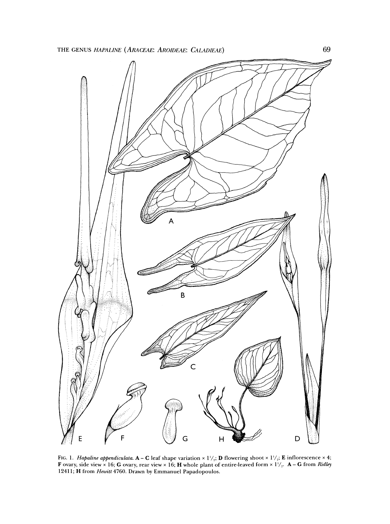

**FIG. 1.** *Hapaline appendiculata.*  $A - C$  leaf shape variation  $\times 1$ <sup>*'*</sup>, **i**) **D** flowering shoot  $\times 1$ <sup>*'*</sup>, **E** inflorescence  $\times 4$ ; **F ovary, side view x 16; G ovary, rear view x 16; H whole plant of entire-leaved form <sup>x</sup>1'/,. A - G from Ridley 12411; H from Hewitt 4760. Drawn by Emmanuel Papadopoulos.**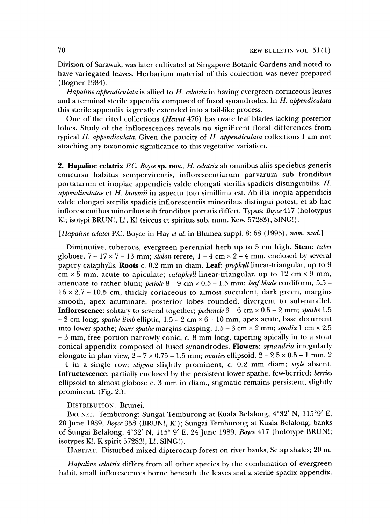**Division of Sarawak, was later cultivated at Singapore Botanic Gardens and noted to have variegated leaves. Herbarium material of this collection was never prepared (Bogner 1984).** 

**Hapaline appendiculata is allied to H. celatrix in having evergreen coriaceous leaves and a terminal sterile appendix composed of fused synandrodes. In H. appendiculata this sterile appendix is greatly extended into a tail-like process.** 

**One of the cited collections (Hewitt 476) has ovate leaf blades lacking posterior lobes. Study of the inflorescences reveals no significent floral differences from typical H. appendiculata. Given the paucity of H. appendiculata collections I am not attaching any taxonomic significance to this vegetative variation.** 

2. Hapaline celatrix *P.C. Boyce* sp. nov., *H. celatrix* ab omnibus aliis speciebus generis **concursu habitus sempervirentis, inflorescentiarum parvarum sub frondibus portatarum et inopiae appendicis valde elongati sterilis spadicis distinguibilis. H. appendiculatae et H. brownii in aspectu toto simillima est. Ab illa inopia appendicis valde elongati sterilis spadicis inflorescentiis minoribus distingui potest, et ab hac inflorescentibus minoribus sub frondibus portatis differt. Typus: Boyce 417 (holotypus K!; isotypi BRUN!, L!, K! (siccus et spiritus sub. num. Kew. 57283), SING!).** 

**[Hapaline celator P.C. Boyce in Hay et al. in Blumea suppl. 8: 68 (1995), nom. nud.]** 

**Diminutive, tuberous, evergreen perennial herb up to 5 cm high. Stem: tuber**  globose,  $7 - 17 \times 7 - 13$  mm; *stolon* terete,  $1 - 4$  cm  $\times 2 - 4$  mm, enclosed by several **papery cataphylls. Roots c. 0.2 mm in diam. Leaf: prophyll linear-triangular, up to 9**   $cm \times 5$  mm, acute to apiculate; *cataphyll* linear-triangular, up to 12 cm  $\times$  9 mm, attenuate to rather blunt; petiole  $8 - 9$  cm  $\times$  0.5 - 1.5 mm; leaf blade cordiform, 5.5 -**16 x 2.7 - 10.5 cm, thickly coriaceous to almost succulent, dark green, margins smooth, apex acuminate, posterior lobes rounded, divergent to sub-parallel. Inflorescence:** solitary to several together; *peduncle*  $3 - 6$  cm  $\times$  0.5 - 2 mm; *spathe* 1.5  $-2$  cm long; *spathe limb* elliptic,  $1.5 - 2$  cm  $\times$  6 - 10 mm, apex acute, base decurrent into lower spathe; lower spathe margins clasping,  $1.5 - 3$  cm  $\times$  2 mm; spadix 1 cm  $\times$  2.5 **- 3 mm, free portion narrowly conic, c. 8 mm long, tapering apically in to a stout conical appendix composed of fused synandrodes. Flowers: synandria irregularly elongate in plan view, 2 - 7 x 0.75 - 1.5 mm; ovaries ellipsoid, 2 - 2.5 x 0.5 - 1 mm, 2 - 4 in a single row; stigma slightly prominent, c. 0.2 mm diam; style absent. Infructescence: partially enclosed by the persistent lower spathe, few-berried; berries ellipsoid to almost globose c. 3 mm in diam., stigmatic remains persistent, slightly prominent. (Fig. 2.).** 

**DISTRIBUTION. Brunei.** 

**BRUNEI. Temburong: Sungai Temburong at Kuala Belalong, 4032' N, 115'9' E, 20 June 1989, Boyce 358 (BRUN!, K!); Sungai Temburong at Kuala Belalong, banks of Sungai Belalong. 4o32' N, 115? 9' E, 24June 1989, Boyce 417 (holotype BRUN!; isotypes K!, K spirit 57283!, L!, SING!).** 

**HABITAT. Disturbed mixed dipterocarp forest on river banks, Setap shales; 20 m.** 

**Hapaline celatrix differs from all other species by the combination of evergreen habit, small inflorescences borne beneath the leaves and a sterile spadix appendix.**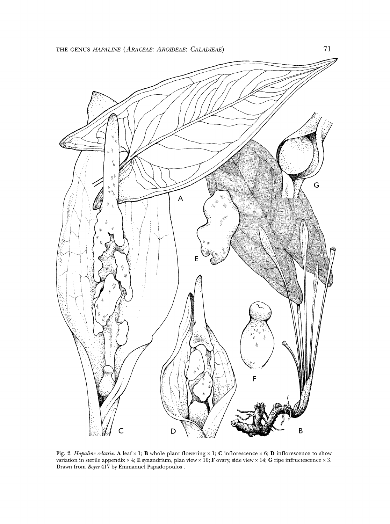

**Fig. 2. Hapaline celatrix. A leaf x 1; B whole plant flowering x 1; C inflorescence x 6; D inflorescence to show variation in sterile appendix x 4; E synandrium, plan view x 10; F ovary, side view x 14; G ripe infructescence x 3. Drawn from Boyce 417 by Emmanuel Papadopoulos .**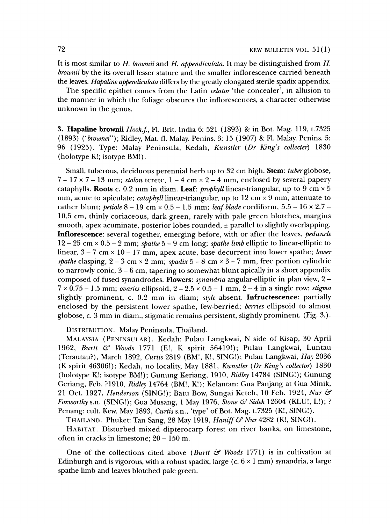**It is most similar to H. brownii and H. appendiculata. It may be distinguished from H. brownii by the its overall lesser stature and the smaller inflorescence carried beneath the leaves. Hapaline appendiculata differs by the greatly elongated sterile spadix appendix.** 

**The specific epithet comes from the Latin celator 'the concealer', in allusion to the manner in which the foliage obscures the inflorescences, a character otherwise unknown in the genus.** 

**3. Hapaline brownii** Hook.f., Fl. Brit. India 6: 521 (1893) & in Bot. Mag. 119, t.7325 **(1893) ('brownei"); Ridley, Mat. fl. Malay. Penins. 3: 15 (1907) & Fl. Malay. Penins. 5: 96 (1925). Type: Malay Peninsula, Kedah, Kunstler (Dr King's collecter) 1830 (holotype K!; isotype BM!).** 

**Small, tuberous, deciduous perennial herb up to 32 cm high. Stem: tuber globose,**   $7 - 17 \times 7 - 13$  mm; stolon terete,  $1 - 4$  cm  $\times 2 - 4$  mm, enclosed by several papery **cataphylls. Roots c. 0.2 mm in diam. Leaf: prophyll linear-triangular, up to 9 cm x 5 mm, acute to apiculate; cataphyll linear-triangular, up to 12 cm x 9 mm, attenuate to**  rather blunt; *petiole*  $8 - 19$  cm  $\times$  0.5 - 1.5 mm; *leaf blade* cordiform, 5.5 - 16  $\times$  2.7 -**10.5 cm, thinly coriaceous, dark green, rarely with pale green blotches, margins**  smooth, apex acuminate, posterior lobes rounded,  $\pm$  parallel to slightly overlapping. **Inflorescence: several together, emerging before, with or after the leaves, peduncle**   $12 - 25$  cm  $\times$  0.5 - 2 mm; *spathe* 5 - 9 cm long; *spathe limb* elliptic to linear-elliptic to **linear, 3 - 7 cm x 10 - 17 mm, apex acute, base decurrent into lower spathe; lower**  spathe clasping,  $2 - 3$  cm  $\times$  2 mm; spadix  $5 - 8$  cm  $\times$  3 - 7 mm, free portion cylindric **to narrowly conic, 3 - 6 cm, tapering to somewhat blunt apically in a short appendix composed of fused synandrodes. Flowers: synandria angular-elliptic in plan view, 2 - 7 x 0.75 - 1.5 mm; ovaries ellipsoid, 2 - 2.5 x 0.5 - 1 mm, 2 - 4 in a single row; stigma slightly prominent, c. 0.2 mm in diam; style absent. Infructescence: partially enclosed by the persistent lower spathe, few-berried; berries ellipsoid to almost globose, c. 3 mm in diam., stigmatic remains persistent, slightly prominent. (Fig. 3.).** 

**DISTRIBUTION. Malay Peninsula, Thailand.** 

**MALAYSIA (PENINSULAR). Kedah: Pulau Langkwai, N side of Kisap, 30 April 1962, Burtt & Woods 1771 (E!, K spirit 56419!); Pulau Langkwai, Luntau (Terautau?), March 1892, Curtis 2819 (BM!, K!, SING!); Pulau Langkwai, Hay 2036 (K spirit 46306!); Kedah, no locality, May 1881, Kunstler (Dr King's collector) 1830 (holotype K!; isotype BM!); Gunung Keriang, 1910, Ridley 14784 (SING!); Gunung Geriang, Feb. ?1910, Ridley 14764 (BM!, K!); Kelantan: Gua Panjang at Gua Minik, 21 Oct. 1927, Henderson (SING!); Batu Bow, Sungai Keteh, 10 Feb. 1924, Nur &**  Foxworthy s.n. (SING!); Gua Musang, 1 May 1976, Stone & Sidek 12604 (KLU!, L!); ? **Penang: cult. Kew, May 1893, Curtis s.n., 'type' of Bot. Mag. t.7325 (K!, SING!).** 

**THAILAND. Phuket: Tan Sang, 28 May 1919, Haniff & Nur 4282 (K!, SING!).** 

**HABITAT. Disturbed mixed dipterocarp forest on river banks, on limestone, often in cracks in limestone; 20- 150 m.** 

One of the collections cited above (Burtt & Woods 1771) is in cultivation at **Edinburgh and is vigorous, with a robust spadix, large (c. 6 x 1 mm) synandria, a large spathe limb and leaves blotched pale green.**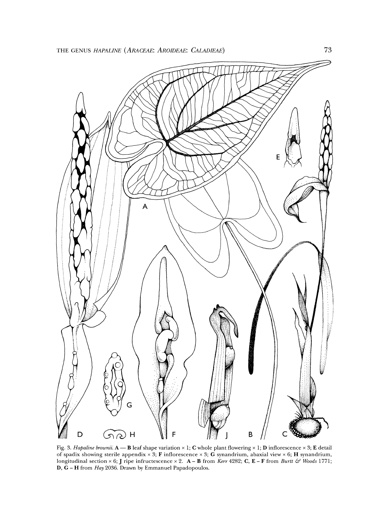

**Fig. 3. Hapaline brownii. A - B leaf shape variation x 1; C whole plant flowering x 1; D inflorescence x 3; E detail of spadix showing sterile appendix x 3; F inflorescence x 3; G synandrium, abaxial view x 6; H synandrium, longitudinal section × 6;** J ripe infructescence × 2.  $A - B$  from Kerr 4282; C,  $E - F$  from Burtt  $\mathcal{F}$  Woods 1771; **D, G - H from Hay 2036. Drawn by Emmanuel Papadopoulos.**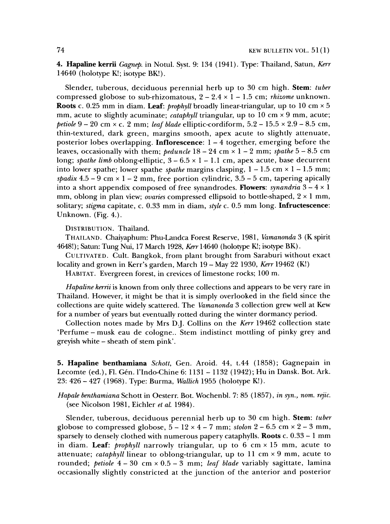**4. Hapaline kerrii Gagnep. in Notul. Syst. 9: 134 (1941). Type: Thailand, Satun, Kerr 14640 (holotype K!; isotype BK!).** 

**Slender, tuberous, deciduous perennial herb up to 30 cm high. Stem: tuber**  compressed globose to sub-rhizomatous,  $2 - 2.4 \times 1 - 1.5$  cm; *rhizome* unknown. **Roots c. 0.25 mm in diam. Leaf: prophyll broadly linear-triangular, up to 10 cm x 5**  mm, acute to slightly acuminate; *cataphyll* triangular, up to 10 cm × 9 mm, acute; **petiole 9 - 20 cm x c. 2 mm; leaf blade elliptic-cordiform, 5.2 - 15.5 x 2.9 - 8.5 cm, thin-textured, dark green, margins smooth, apex acute to slightly attenuate, posterior lobes overlapping. Inflorescence: 1 - 4 together, emerging before the**  leaves, occasionally with them; *peduncle*  $18 - 24$  cm  $\times$   $1 - 2$  mm; *spathe*  $5 - 8.5$  cm **long; spathe limb oblong-elliptic, 3 - 6.5 x 1 - 1.1 cm, apex acute, base decurrent**  into lower spathe; lower spathe *spathe margins clasping*,  $1 - 1.5$  cm  $\times$   $1 - 1.5$  mm; **spadix 4.5 - 9 cm x 1 - 2 mm, free portion cylindric, 3.5 - 5 cm, tapering apically**  into a short appendix composed of free synandrodes. **Flowers**: *synandria*  $3 - 4 \times 1$ **mm, oblong in plan view; ovaries compressed ellipsoid to bottle-shaped, 2 x 1 mm, solitary; stigma capitate, c. 0.33 mm in diam, style c. 0.5 mm long. Infructescence: Unknown. (Fig. 4.).** 

**DISTRIBUTION. Thailand.** 

**THAILAND. Chaiyaphum: Phu-Landca Forest Reserve, 1981, Vamanonda 3 (K spirit 4648!); Satun: Tung Nui, 17 March 1928, Kerr 14640 (holotype K!; isotype BK).** 

**CULTIVATED. Cult. Bangkok, from plant brought from Saraburi without exact locality and grown in Kerr's garden, March 19 - May 22 1930, Kerr 19462 (K!)** 

**HABITAT. Evergreen forest, in crevices of limestone rocks; 100 m.** 

**Hapaline kerrii is known from only three collections and appears to be very rare in Thailand. However, it might be that it is simply overlooked in the field since the collections are quite widely scattered. The Vamanonda 3 collection grew well at Kew for a number of years but eventually rotted during the winter dormancy period.** 

**Collection notes made by Mrs D.J. Collins on the Kerr 19462 collection state 'Perfume - musk eau de cologne.. Stem indistinct mottling of pinky grey and greyish white - sheath of stem pink'.** 

**5. Hapaline benthamiana Schott, Gen. Aroid. 44, t.44 (1858); Gagnepain in Lecomte (ed.), Fl. Gen. l'Indo-Chine 6:1131 - 1132 (1942); Hu in Dansk. Bot. Ark. 23: 426 - 427 (1968). Type: Burma, Wallich 1955 (holotype K!).** 

**Hapale benthamiana Schott in Oesterr. Bot. Wochenbl. 7: 85 (1857), in syn., nom. rejic. (see Nicolson 1981, Eichler et al. 1984).** 

**Slender, tuberous, deciduous perennial herb up to 30 cm high. Stem: tuber**  globose to compressed globose,  $5 - 12 \times 4 - 7$  mm; stolon  $2 - 6.5$  cm  $\times 2 - 3$  mm, **sparsely to densely clothed with numerous papery cataphylls. Roots c. 0.33 - 1 mm in diam. Leaf: prophyll narrowly triangular, up to 6 cm x 15 mm, acute to attenuate; cataphyll linear to oblong-triangular, up to 11 cm x 9 mm, acute to rounded; petiole 4 - 30 cm x 0.5 - 3 mm; leaf blade variably sagittate, lamina occasionally slightly constricted at the junction of the anterior and posterior**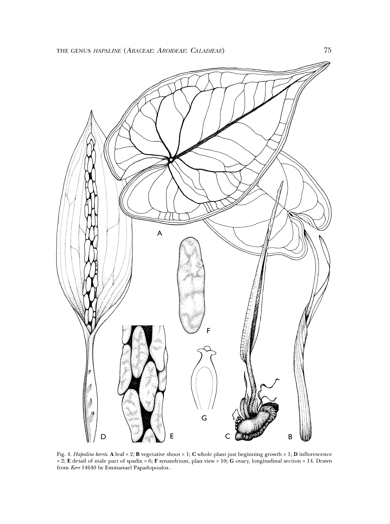

**Fig. 4.** Hapaline kerrii. **A** leaf  $\times$  2; **B** vegetative shoot  $\times$  1; **C** whole plant just beginning growth  $\times$  1; **D** inflorescenc **x 2; E detail of male part of spadix x 6; F synandrium, plan view x 10; G ovary, longitudinal section x 14. Drawn from Kerr 14640 by Emmanuel Papadopoulos .**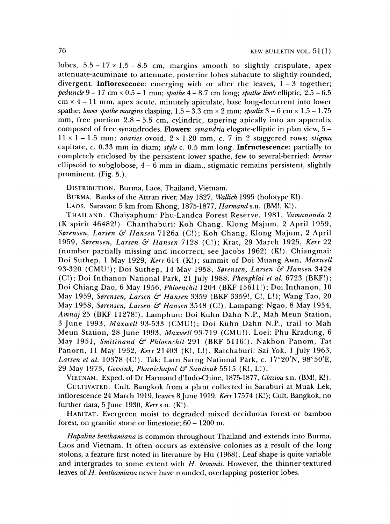**lobes, 5.5 - 17 x 1.5 - 8.5 cm, margins smooth to slightly crispulate, apex attenuate-acuminate to attenuate, posterior lobes subacute to slightly rounded, divergent. Inflorescence: emerging with or after the leaves, 1 - 3 together; peduncle 9 - 17 cm x 0.5 - 1 mm; spathe 4 - 8.7 cm long; spathe limb elliptic, 2.5 - 6.5 cm x 4 - 11 mm, apex acute, minutely apiculate, base long-decurrent into lower**  spathe; lower spathe margins clasping,  $1.5 - 3.3$  cm  $\times$  2 mm; spadix  $3 - 6$  cm  $\times$  1.5  $- 1.75$ **mm, free portion 2.8 - 5.5 cm, cylindric, tapering apically into an appendix composed of free synandrodes. Flowers: synandria elogate-elliptic in plan view, 5 -**   $11 \times 1 - 1.5$  mm; *ovaries* ovoid,  $2 \times 1.20$  mm, c. 7 in 2 staggered rows; *stigma* **capitate, c. 0.33 mm in diam; style c. 0.5 mm long. Infructescence: partially to completely enclosed by the persistent lower spathe, few to several-berried; berries ellipsoid to subglobose, 4- 6 mm in diam., stigmatic remains persistent, slightly prominent. (Fig. 5.).** 

**DISTRIBUTION. Burma, Laos, Thailand, Vietnam.** 

**BURMA. Banks of the Attran river, May 1827, Wallich 1995 (holotype K!).** 

**LAOS. Saravan: 5 km from Khong, 1875-1877, Harmand s.n. (BM!, K!).** 

**THAILAND. Chaiyaphum: Phu-Landca Forest Reserve, 1981, Vamanonda 2 (K spirit 46482!). Chanthaburi: Koh Chang, Klong Majum, 2 April 1959,**  Sørensen, Larsen & Hansen 7126a (C!); Koh Chang, Klong Majum, 2 April **1959, Sorensen, Larsen & Hansen 7128 (C!); Krat, 29 March 1925, Kerr 22 (number partially missing and incorrect, see Jacobs 1962) (K!). Chiangmai: Doi Suthep, 1 May 1929, Kerr 614 (K!); summit of Doi Muang Awn, Maxwell 93-320 (CMU!); Doi Suthep, 14 May 1958, Sorensen, Larsen & Hansen 3424 (C!); Doi Inthanon National Park, 21 July 1988, Phengklai et al. 6723 (BKF!); Doi Chiang Dao, 6 May 1956, Phloenchit 1204 (BKF 15611!); Doi Inthanon, 10 May 1959, Sorensen, Larsen & Hansen 3359 (BKF 3359!, C!, L!); Wang Tao, 20 May 1958, Sorensen, Larsen & Hansen 3548 (C!). Lampang: Ngao, 8 May 1954, Amnaj 25 (BKF 11278!). Lamphun: Doi Kuhn Dahn N.P., Mah Meun Station, 3 June 1993, Maxwell 93-533 (CMU!); Doi Kuhn Dahn N.P., trail to Mah Meun Station, 28 June 1993, Maxwell 93-719 (CMU!). Loei: Phu Kradung, 6 May 1951, Smitinand & Phloenchit 291 (BKF 5116!). Nakhon Panom, Tat Panorn, 11 May 1932, Kerr 21403 (K!, L!). Ratchaburi: Sai Yok, 1 July 1963, Larsen et al. 10378 (C!). Tak: Larn Sarng National Park, c. 17'20'N, 98'50'E, 29 May 1973, Geesink, Phanichapol & Santisuk 5515 (K!, L!).** 

**VIETNAM. Exped. of Dr Harmand d'Indo-Chine, 1875-1877, Glaziou s.n. (BM!, K!). CULTIVATED. Cult. Bangkok from a plant collected in Saraburi at Muak Lek, inflorescence 24 March 1919, leaves 8June 1919, Kerr 17574 (K!); Cult. Bangkok, no further data, 5 June 1930, Kerr s.n. (K!).** 

**HABITAT. Evergreen moist to degraded mixed deciduous forest or bamboo forest, on granitic stone or limestone; 60 - 1200 m.** 

**Hapaline benthamiana is common throughout Thailand and extends into Burma, Laos and Vietnam. It often occurs as extensive colonies as a result of the long stolons, a feature first noted in literature by Hu (1968). Leaf shape is quite variable and intergrades to some extent with H. brownii. However, the thinner-textured leaves of H. benthamiana never have rounded, overlapping posterior lobes.**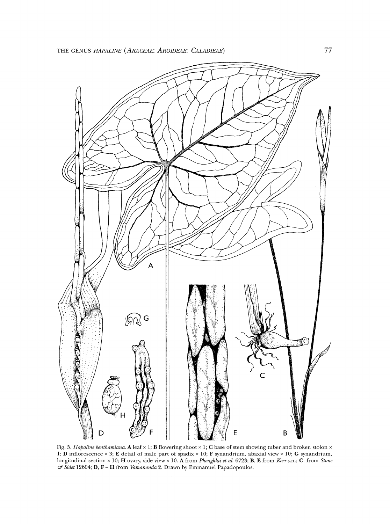

**Fig. 5. Hapaline benthamiana. A leaf x 1; B flowering shoot x 1; C base of stem showing tuber and broken stolon x 1; D inflorescence x 3; E detail of male part of spadix x 10; F synandrium, abaxial view x 10; G synandrium, longitudinal section x 10; H ovary, side view x 10. A from Phengklai et al. 6723; B, E from Kerr s.n.; C from Stone & Sidet 12604; D, F - H from Vamanonda 2. Drawn by Emmanuel Papadopoulos.**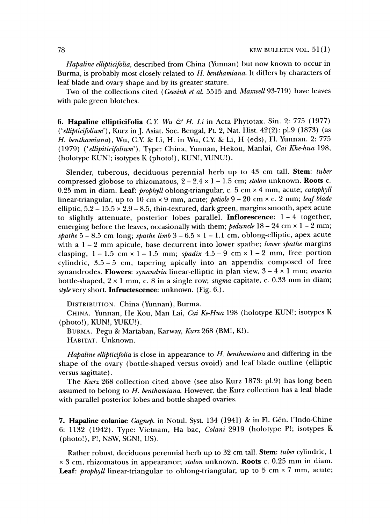**Hapaline ellipticifolia, described from China (Yunnan) but now known to occur in Burma, is probably most closely related to H. benthamiana. It differs by characters of leaf blade and ovary shape and by its greater stature.** 

**Two of the collections cited (Geesink et al. 5515 and Maxwell 93-719) have leaves with pale green blotches.** 

**6. Hapaline ellipticifolia** C.Y. Wu & H. Li in Acta Phytotax. Sin. 2: 775 (1977) **('ellipticifolium'), Kurz in J. Asiat. Soc. Bengal, Pt. 2, Nat. Hist. 42(2): pl.9 (1873) (as H. benthamiana), Wu, C.Y. & Li, H. in Wu, C.Y. & Li, H (eds), Fl. Yunnan. 2: 775 (1979) ('ellipiticifolium'). Type: China, Yunnan, Hekou, Manlai, Cai Khe-hua 198, (holotype KUN!; isotypes K (photo!), KUN!, YUNU!).** 

**Slender, tuberous, deciduous perennial herb up to 43 cm tall. Stem: tuber**  compressed globose to rhizomatous,  $2 - 2.4 \times 1 - 1.5$  cm; *stolon* unknown. **Roots** c. **0.25 mm in diam. Leaf: prophyll oblong-triangular, c. 5 cm x 4 mm, acute; cataphyll linear-triangular, up to 10 cm x 9 mm, acute; petiole 9 - 20 cm x c. 2 mm; leaf blade elliptic, 5.2 - 15.5 x 2.9 - 8.5, thin-textured, dark green, margins smooth, apex acute**  to slightly attenuate, posterior lobes parallel. Inflorescence: 1-4 together, emerging before the leaves, occasionally with them; *peduncle*  $18 - 24$  cm  $\times$   $1 - 2$  mm; spathe  $5 - 8.5$  cm long; spathe limb  $3 - 6.5 \times 1 - 1.1$  cm, oblong-elliptic, apex acute with a  $1 - 2$  mm apicule, base decurrent into lower spathe; lower spathe margins clasping,  $1 - 1.5$  cm  $\times$  1 - 1.5 mm; *spadix* 4.5 - 9 cm  $\times$  1 - 2 mm, free portion **cylindric, 3.5 - 5 cm, tapering apically into an appendix composed of free synandrodes. Flowers: synandria linear-elliptic in plan view, 3 - 4 x 1 mm; ovaries bottle-shaped, 2 x 1 mm, c. 8 in a single row; stigma capitate, c. 0.33 mm in diam; style very short. Infructescence: unknown. (Fig. 6.).** 

**DISTRIBUTION. China (Yunnan), Burma.** 

**CHINA. Yunnan, He Kou, Man Lai, Cai Ke-Hua 198 (holotype KUN!; isotypes K (photo!), KUN!, YUKU!).** 

**BURMA. Pegu & Martaban, Karway, Kurz 268 (BM!, K!). HABITAT. Unknown.** 

**Hapaline ellipticifolia is close in appearance to H. benthamiana and differing in the shape of the ovary (bottle-shaped versus ovoid) and leaf blade outline (elliptic versus sagittate).** 

**The Kurz 268 collection cited above (see also Kurz 1873: pl.9) has long been assumed to belong to H. benthamiana. However, the Kurz collection has a leaf blade with parallel posterior lobes and bottle-shaped ovaries.** 

**7. Hapaline colaniae** Gagnep. in Notul. Syst. 134 (1941) & in Fl. Gén. l'Indo-Chine **6: 1132 (1942). Type: Vietnam, Ha bac, Colani 2919 (holotype P!; isotypes K (photo!), P!, NSW, SGN!, US).** 

**Rather robust, deciduous perennial herb up to 32 cm tall. Stem: tuber cylindric, 1 x 3 cm, rhizomatous in appearance; stolon unknown. Roots c. 0.25 mm in diam.**  Leaf: *prophyll* linear-triangular to oblong-triangular, up to 5 cm × 7 mm, acute;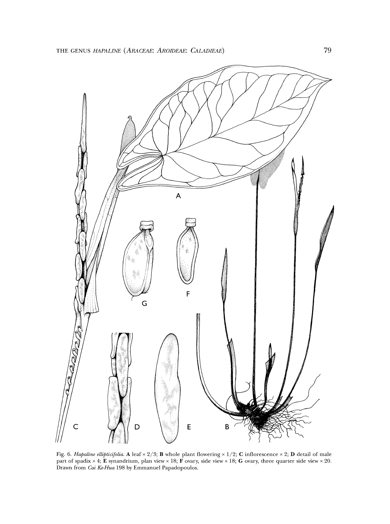

**Fig. 6.** Hapaline ellipticifolia. A leaf  $\times$  2/3; **B** whole plant flowering  $\times$  1/2; **C** inflorescence  $\times$  2; **D** detail of male **part of spadix x 4; E synandrium, plan view x 18; F ovary, side view x 18; G ovary, three quarter side view x 20. Drawn from Cai Ke-Hua 198 by Emmanuel Papadopoulos.**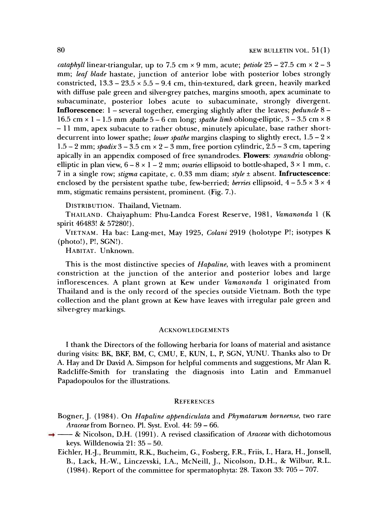*cataphyll* linear-triangular, up to 7.5 cm  $\times$  9 mm, acute; *petiole* 25 – 27.5 cm  $\times$  2 – 3 **mm; leaf blade hastate, junction of anterior lobe with posterior lobes strongly constricted, 13.3 - 23.5 x 5.5 - 9.4 cm, thin-textured, dark green, heavily marked with diffuse pale green and silver-grey patches, margins smooth, apex acuminate to subacuminate, posterior lobes acute to subacuminate, strongly divergent. Inflorescence:** 1 – several together, emerging slightly after the leaves; *peduncle* 8 – 16.5 cm  $\times$  1 – 1.5 mm *spathe*  $\overline{5}$  – 6 cm long; *spathe limb* oblong-elliptic, 3 – 3.5 cm  $\times$  8 **- 11 mm, apex subacute to rather obtuse, minutely apiculate, base rather short**decurrent into lower spathe; lower spathe margins clasping to slightly erect,  $1.5 - 2 \times$ **1.5 - 2 mm; spadix 3 - 3.5 cm x 2 - 3 mm, free portion cylindric, 2.5 - 3 cm, tapering apically in an appendix composed of free synandrodes. Flowers: synandria oblong**elliptic in plan view,  $6 - 8 \times 1 - 2$  mm; *ovaries* ellipsoid to bottle-shaped,  $3 \times 1$  mm, c. **7 in a single row; stigma capitate, c. 0.33 mm diam; style + absent. Infructescence:**  enclosed by the persistent spathe tube, few-berried; *berries* ellipsoid,  $4 - 5.5 \times 3 \times 4$ **mm, stigmatic remains persistent, prominent. (Fig. 7.).** 

**DISTRIBUTION. Thailand, Vietnam.** 

**THAILAND. Chaiyaphum: Phu-Landca Forest Reserve, 1981, Vamanonda 1 (K spirit 46483! & 57280!).** 

**VIETNAM. Ha bac: Lang-met, May 1925, Colani 2919 (holotype P!; isotypes K (photo!), P!, SGN!).** 

**HABITAT. Unknown.** 

**This is the most distinctive species of Hapaline, with leaves with a prominent constriction at the junction of the anterior and posterior lobes and large inflorescences. A plant grown at Kew under Vamanonda 1 originated from Thailand and is the only record of the species outside Vietnam. Both the type collection and the plant grown at Kew have leaves with irregular pale green and silver-grey markings.** 

### **ACKNOWLEDGEMENTS**

**I thank the Directors of the following herbaria for loans of material and asistance during visits: BK, BKF, BM, C, CMU, E, KUN, L, P, SGN, YUNU. Thanks also to Dr A. Hay and Dr David A. Simpson for helpful comments and suggestions, Mr Alan R. Radcliffe-Smith for translating the diagnosis into Latin and Emmanuel Papadopoulos for the illustrations.** 

### **REFERENCES**

**Bogner, J. (1984). On Hapaline appendiculata and Phymatarum borneense, two rare Araceae from Borneo. P. Syst. Evol. 44: 59 - 66.** 

- **&- Nicolson, D.H. (1991). A revised classification of Araceae with dichotomous keys. Willdenowia 21: 35 - 50.**
- **Eichler, H.-J., Brummitt, R.K., Bucheim, G., Fosberg, F.R., Friis, I., Hara, H., Jonsell, B., Lack, H.-W., Linczevski, I.A., McNeill, J., Nicolson, D.H., & Wilbur, R.L. (1984). Report of the committee for spermatophyta: 28. Taxon 33: 705 - 707.**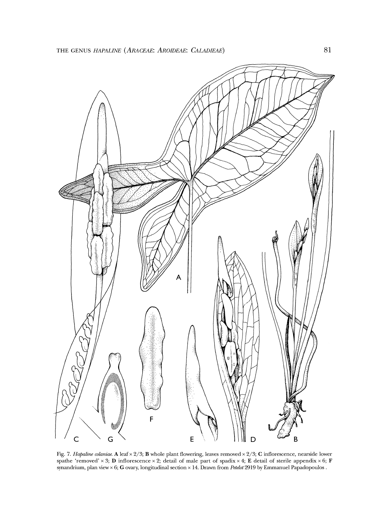

**Fig. 7. Hapaline colaniae. A leaf x 2/3; B whole plant flowering, leaves removed x 2/3; C inflorescence, nearside lower**  spathe 'removed' x 3; **D** inflorescence x 2; detail of male part of spadix x 4; **E** detail of sterile appendix x 6; **F synandrium, plan view x 6; G ovary, longitudinal section x 14. Drawn from Petelot 2919 by Emmanuel Papadopoulos .**